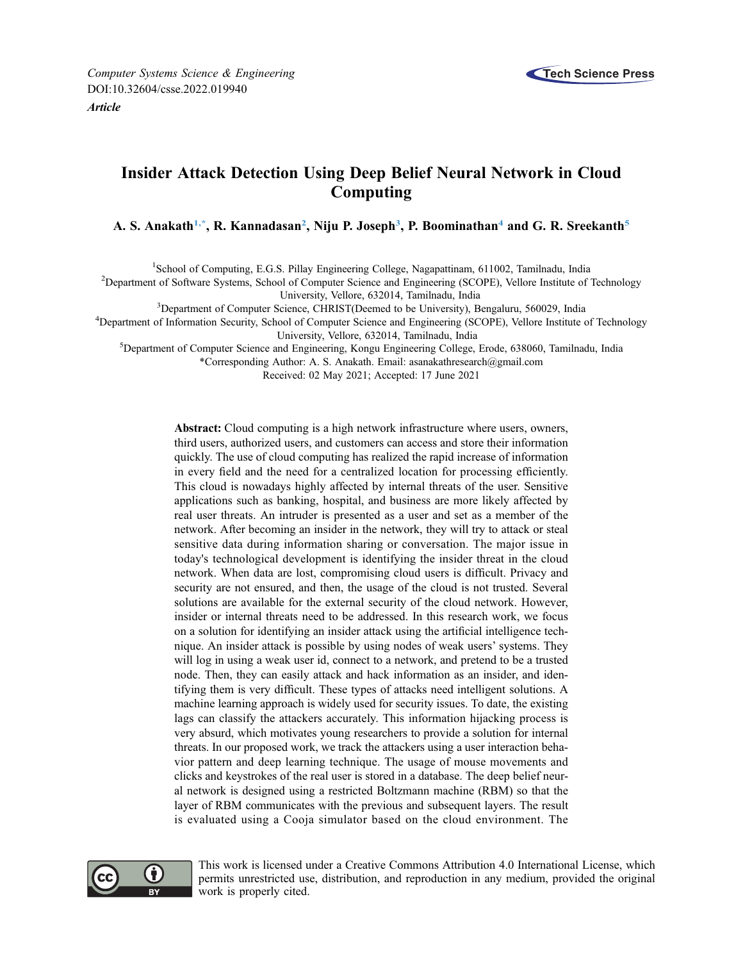

# Insider Attack Detection Using Deep Belief Neural Network in Cloud Computing

A. S. Anakath<sup>[1,](#page-0-0)\*</sup>, R. Kannadasan<sup>[2](#page-0-2)</sup>, Niju P. Joseph<sup>[3](#page-0-3)</sup>, P. Boominathan<sup>[4](#page-0-4)</sup> and G. R. Sreekanth<sup>[5](#page-0-5)</sup>

<span id="page-0-0"></span><sup>1</sup>School of Computing, E.G.S. Pillay Engineering College, Nagapattinam, 611002, Tamilnadu, India<br><sup>2</sup>Department of Software Systems, School of Computer Science and Engineering (SCOPE), Vellere Institute of

<span id="page-0-2"></span><sup>2</sup>Department of Software Systems, School of Computer Science and Engineering (SCOPE), Vellore Institute of Technology University, Vellore, 632014, Tamilnadu, India<br><sup>3</sup>Department of Computer Science, CHRIST (Deemed to be University), B

<span id="page-0-3"></span><sup>3</sup>Department of Computer Science, CHRIST(Deemed to be University), Bengaluru, 560029, India<br><sup>4</sup>Department of Information Security, School of Computer Science and Engineering (SCOPE), Vellore Institute

<span id="page-0-5"></span><span id="page-0-4"></span><span id="page-0-1"></span><sup>4</sup>Department of Information Security, School of Computer Science and Engineering (SCOPE), Vellore Institute of Technology

University, Vellore, 632014, Tamilnadu, India<br><sup>5</sup>Department of Computer Science and Engineering, Kongu Engineering College, Erode, 638060, Tamilnadu, India

\*Corresponding Author: A. S. Anakath. Email: [asanakathresearch@gmail.com](mailto:asanakathresearch@gmail.com)

Received: 02 May 2021; Accepted: 17 June 2021

Abstract: Cloud computing is a high network infrastructure where users, owners, third users, authorized users, and customers can access and store their information quickly. The use of cloud computing has realized the rapid increase of information in every field and the need for a centralized location for processing efficiently. This cloud is nowadays highly affected by internal threats of the user. Sensitive applications such as banking, hospital, and business are more likely affected by real user threats. An intruder is presented as a user and set as a member of the network. After becoming an insider in the network, they will try to attack or steal sensitive data during information sharing or conversation. The major issue in today's technological development is identifying the insider threat in the cloud network. When data are lost, compromising cloud users is difficult. Privacy and security are not ensured, and then, the usage of the cloud is not trusted. Several solutions are available for the external security of the cloud network. However, insider or internal threats need to be addressed. In this research work, we focus on a solution for identifying an insider attack using the artificial intelligence technique. An insider attack is possible by using nodes of weak users' systems. They will log in using a weak user id, connect to a network, and pretend to be a trusted node. Then, they can easily attack and hack information as an insider, and identifying them is very difficult. These types of attacks need intelligent solutions. A machine learning approach is widely used for security issues. To date, the existing lags can classify the attackers accurately. This information hijacking process is very absurd, which motivates young researchers to provide a solution for internal threats. In our proposed work, we track the attackers using a user interaction behavior pattern and deep learning technique. The usage of mouse movements and clicks and keystrokes of the real user is stored in a database. The deep belief neural network is designed using a restricted Boltzmann machine (RBM) so that the layer of RBM communicates with the previous and subsequent layers. The result is evaluated using a Cooja simulator based on the cloud environment. The



This work is licensed under a Creative Commons Attribution 4.0 International License, which permits unrestricted use, distribution, and reproduction in any medium, provided the original work is properly cited.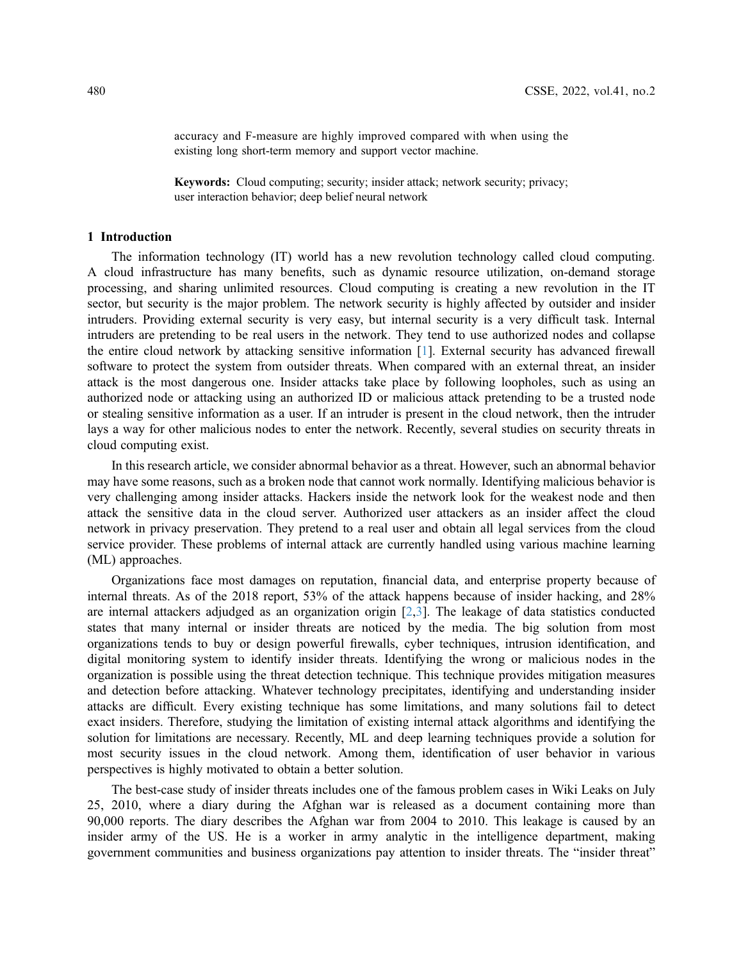accuracy and F-measure are highly improved compared with when using the existing long short-term memory and support vector machine.

Keywords: Cloud computing; security; insider attack; network security; privacy; user interaction behavior; deep belief neural network

## 1 Introduction

The information technology (IT) world has a new revolution technology called cloud computing. A cloud infrastructure has many benefits, such as dynamic resource utilization, on-demand storage processing, and sharing unlimited resources. Cloud computing is creating a new revolution in the IT sector, but security is the major problem. The network security is highly affected by outsider and insider intruders. Providing external security is very easy, but internal security is a very difficult task. Internal intruders are pretending to be real users in the network. They tend to use authorized nodes and collapse the entire cloud network by attacking sensitive information [\[1\]](#page-12-0). External security has advanced firewall software to protect the system from outsider threats. When compared with an external threat, an insider attack is the most dangerous one. Insider attacks take place by following loopholes, such as using an authorized node or attacking using an authorized ID or malicious attack pretending to be a trusted node or stealing sensitive information as a user. If an intruder is present in the cloud network, then the intruder lays a way for other malicious nodes to enter the network. Recently, several studies on security threats in cloud computing exist.

In this research article, we consider abnormal behavior as a threat. However, such an abnormal behavior may have some reasons, such as a broken node that cannot work normally. Identifying malicious behavior is very challenging among insider attacks. Hackers inside the network look for the weakest node and then attack the sensitive data in the cloud server. Authorized user attackers as an insider affect the cloud network in privacy preservation. They pretend to a real user and obtain all legal services from the cloud service provider. These problems of internal attack are currently handled using various machine learning (ML) approaches.

Organizations face most damages on reputation, financial data, and enterprise property because of internal threats. As of the 2018 report, 53% of the attack happens because of insider hacking, and 28% are internal attackers adjudged as an organization origin  $[2,3]$  $[2,3]$  $[2,3]$  $[2,3]$  $[2,3]$ . The leakage of data statistics conducted states that many internal or insider threats are noticed by the media. The big solution from most organizations tends to buy or design powerful firewalls, cyber techniques, intrusion identification, and digital monitoring system to identify insider threats. Identifying the wrong or malicious nodes in the organization is possible using the threat detection technique. This technique provides mitigation measures and detection before attacking. Whatever technology precipitates, identifying and understanding insider attacks are difficult. Every existing technique has some limitations, and many solutions fail to detect exact insiders. Therefore, studying the limitation of existing internal attack algorithms and identifying the solution for limitations are necessary. Recently, ML and deep learning techniques provide a solution for most security issues in the cloud network. Among them, identification of user behavior in various perspectives is highly motivated to obtain a better solution.

The best-case study of insider threats includes one of the famous problem cases in Wiki Leaks on July 25, 2010, where a diary during the Afghan war is released as a document containing more than 90,000 reports. The diary describes the Afghan war from 2004 to 2010. This leakage is caused by an insider army of the US. He is a worker in army analytic in the intelligence department, making government communities and business organizations pay attention to insider threats. The "insider threat"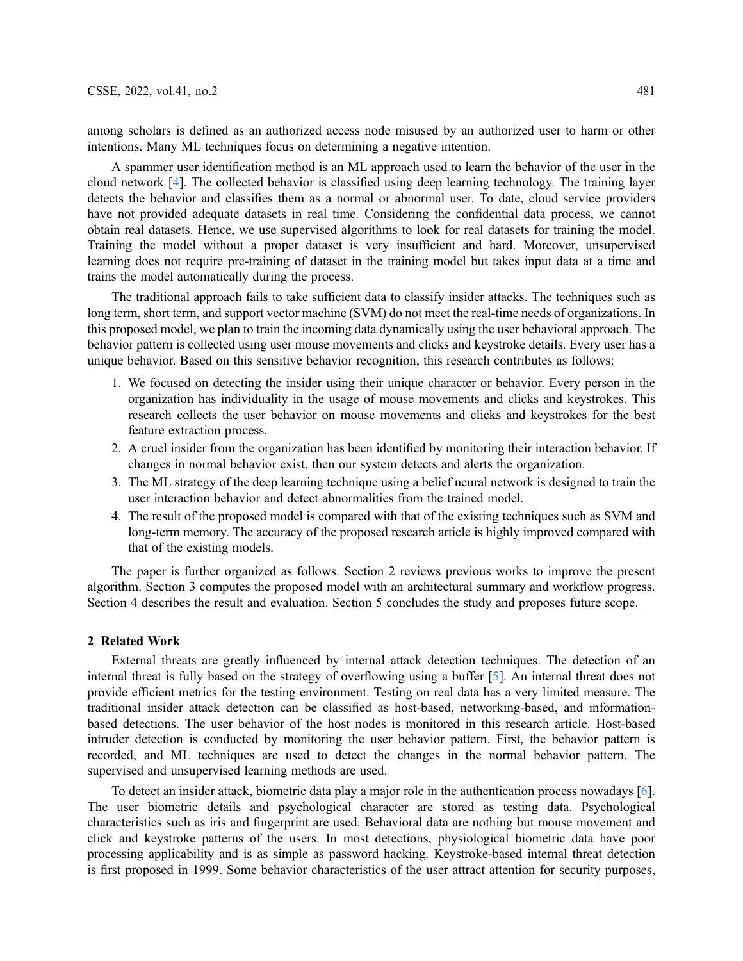among scholars is defined as an authorized access node misused by an authorized user to harm or other intentions. Many ML techniques focus on determining a negative intention.

A spammer user identification method is an ML approach used to learn the behavior of the user in the cloud network [\[4\]](#page-12-3). The collected behavior is classified using deep learning technology. The training layer detects the behavior and classifies them as a normal or abnormal user. To date, cloud service providers have not provided adequate datasets in real time. Considering the confidential data process, we cannot obtain real datasets. Hence, we use supervised algorithms to look for real datasets for training the model. Training the model without a proper dataset is very insufficient and hard. Moreover, unsupervised learning does not require pre-training of dataset in the training model but takes input data at a time and trains the model automatically during the process.

The traditional approach fails to take sufficient data to classify insider attacks. The techniques such as long term, short term, and support vector machine (SVM) do not meet the real-time needs of organizations. In this proposed model, we plan to train the incoming data dynamically using the user behavioral approach. The behavior pattern is collected using user mouse movements and clicks and keystroke details. Every user has a unique behavior. Based on this sensitive behavior recognition, this research contributes as follows:

- 1. We focused on detecting the insider using their unique character or behavior. Every person in the organization has individuality in the usage of mouse movements and clicks and keystrokes. This research collects the user behavior on mouse movements and clicks and keystrokes for the best feature extraction process.
- 2. A cruel insider from the organization has been identified by monitoring their interaction behavior. If changes in normal behavior exist, then our system detects and alerts the organization.
- 3. The ML strategy of the deep learning technique using a belief neural network is designed to train the user interaction behavior and detect abnormalities from the trained model.
- 4. The result of the proposed model is compared with that of the existing techniques such as SVM and long-term memory. The accuracy of the proposed research article is highly improved compared with that of the existing models.

The paper is further organized as follows. Section 2 reviews previous works to improve the present algorithm. Section 3 computes the proposed model with an architectural summary and workflow progress. Section 4 describes the result and evaluation. Section 5 concludes the study and proposes future scope.

## 2 Related Work

External threats are greatly influenced by internal attack detection techniques. The detection of an internal threat is fully based on the strategy of overflowing using a buffer [[5](#page-12-4)]. An internal threat does not provide efficient metrics for the testing environment. Testing on real data has a very limited measure. The traditional insider attack detection can be classified as host-based, networking-based, and informationbased detections. The user behavior of the host nodes is monitored in this research article. Host-based intruder detection is conducted by monitoring the user behavior pattern. First, the behavior pattern is recorded, and ML techniques are used to detect the changes in the normal behavior pattern. The supervised and unsupervised learning methods are used.

To detect an insider attack, biometric data play a major role in the authentication process nowadays [\[6\]](#page-12-5). The user biometric details and psychological character are stored as testing data. Psychological characteristics such as iris and fingerprint are used. Behavioral data are nothing but mouse movement and click and keystroke patterns of the users. In most detections, physiological biometric data have poor processing applicability and is as simple as password hacking. Keystroke-based internal threat detection is first proposed in 1999. Some behavior characteristics of the user attract attention for security purposes,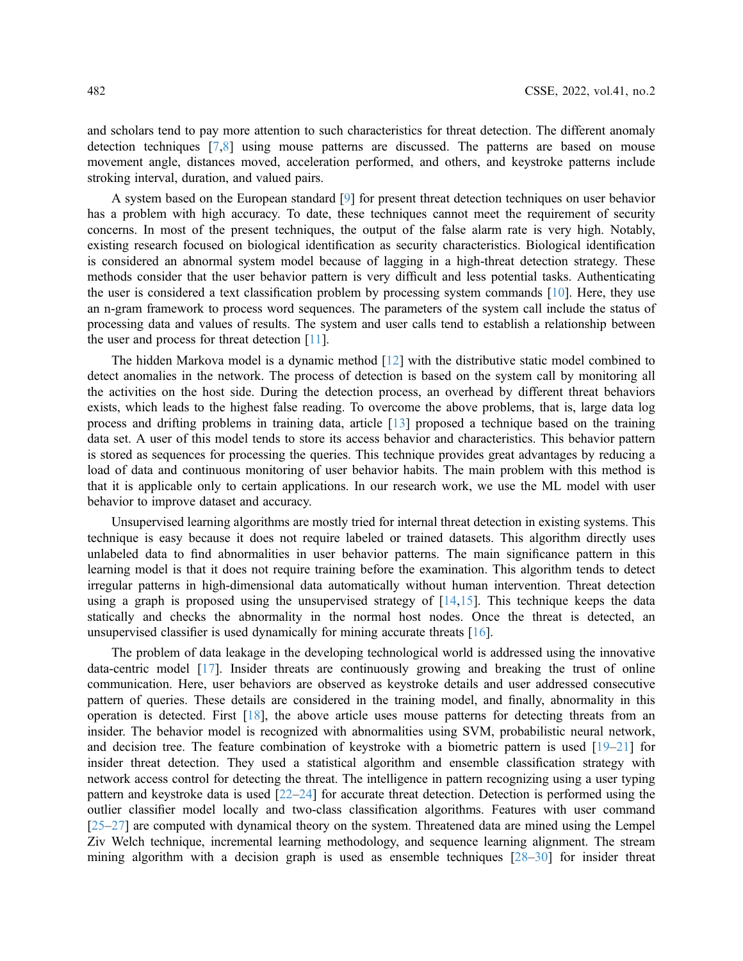and scholars tend to pay more attention to such characteristics for threat detection. The different anomaly detection techniques [\[7,](#page-12-6)[8](#page-12-7)] using mouse patterns are discussed. The patterns are based on mouse movement angle, distances moved, acceleration performed, and others, and keystroke patterns include stroking interval, duration, and valued pairs.

A system based on the European standard [[9](#page-12-8)] for present threat detection techniques on user behavior has a problem with high accuracy. To date, these techniques cannot meet the requirement of security concerns. In most of the present techniques, the output of the false alarm rate is very high. Notably, existing research focused on biological identification as security characteristics. Biological identification is considered an abnormal system model because of lagging in a high-threat detection strategy. These methods consider that the user behavior pattern is very difficult and less potential tasks. Authenticating the user is considered a text classification problem by processing system commands [[10\]](#page-12-9). Here, they use an n-gram framework to process word sequences. The parameters of the system call include the status of processing data and values of results. The system and user calls tend to establish a relationship between the user and process for threat detection [[11](#page-12-10)].

The hidden Markova model is a dynamic method [\[12](#page-12-11)] with the distributive static model combined to detect anomalies in the network. The process of detection is based on the system call by monitoring all the activities on the host side. During the detection process, an overhead by different threat behaviors exists, which leads to the highest false reading. To overcome the above problems, that is, large data log process and drifting problems in training data, article [\[13](#page-13-0)] proposed a technique based on the training data set. A user of this model tends to store its access behavior and characteristics. This behavior pattern is stored as sequences for processing the queries. This technique provides great advantages by reducing a load of data and continuous monitoring of user behavior habits. The main problem with this method is that it is applicable only to certain applications. In our research work, we use the ML model with user behavior to improve dataset and accuracy.

Unsupervised learning algorithms are mostly tried for internal threat detection in existing systems. This technique is easy because it does not require labeled or trained datasets. This algorithm directly uses unlabeled data to find abnormalities in user behavior patterns. The main significance pattern in this learning model is that it does not require training before the examination. This algorithm tends to detect irregular patterns in high-dimensional data automatically without human intervention. Threat detection using a graph is proposed using the unsupervised strategy of  $[14,15]$  $[14,15]$  $[14,15]$  $[14,15]$ . This technique keeps the data statically and checks the abnormality in the normal host nodes. Once the threat is detected, an unsupervised classifier is used dynamically for mining accurate threats [\[16](#page-13-3)].

The problem of data leakage in the developing technological world is addressed using the innovative data-centric model [\[17](#page-13-4)]. Insider threats are continuously growing and breaking the trust of online communication. Here, user behaviors are observed as keystroke details and user addressed consecutive pattern of queries. These details are considered in the training model, and finally, abnormality in this operation is detected. First [[18\]](#page-13-5), the above article uses mouse patterns for detecting threats from an insider. The behavior model is recognized with abnormalities using SVM, probabilistic neural network, and decision tree. The feature combination of keystroke with a biometric pattern is used [[19](#page-13-6)–[21](#page-13-7)] for insider threat detection. They used a statistical algorithm and ensemble classification strategy with network access control for detecting the threat. The intelligence in pattern recognizing using a user typing pattern and keystroke data is used [\[22](#page-13-8)–[24\]](#page-13-9) for accurate threat detection. Detection is performed using the outlier classifier model locally and two-class classification algorithms. Features with user command [[25](#page-13-10)–[27\]](#page-13-11) are computed with dynamical theory on the system. Threatened data are mined using the Lempel Ziv Welch technique, incremental learning methodology, and sequence learning alignment. The stream mining algorithm with a decision graph is used as ensemble techniques [\[28](#page-13-12)–[30\]](#page-13-13) for insider threat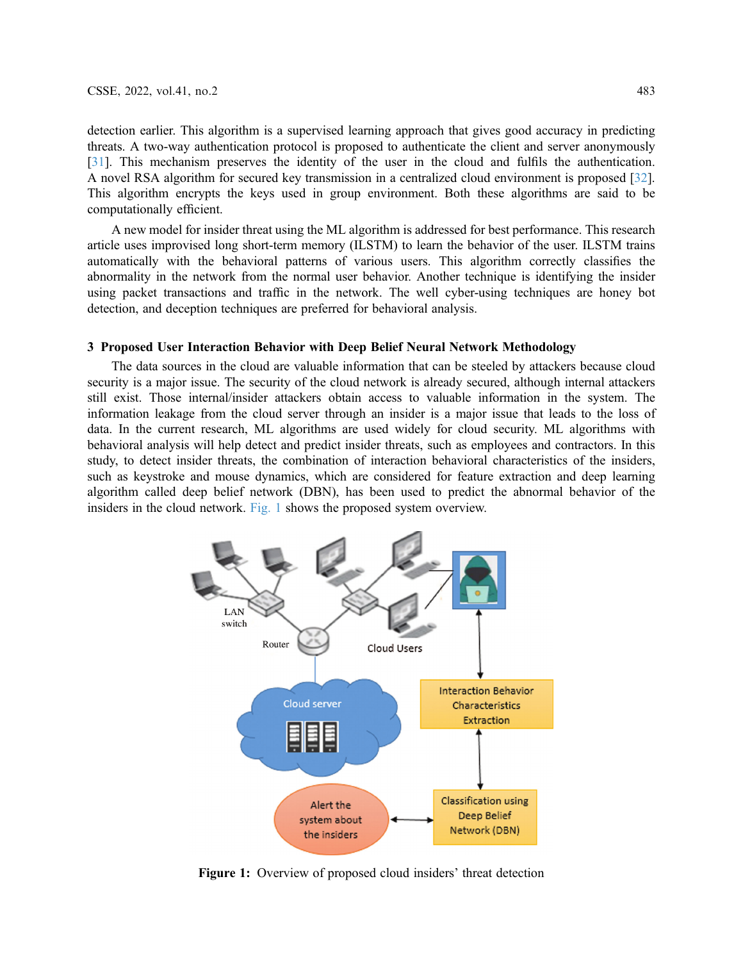detection earlier. This algorithm is a supervised learning approach that gives good accuracy in predicting threats. A two-way authentication protocol is proposed to authenticate the client and server anonymously [[31](#page-13-14)]. This mechanism preserves the identity of the user in the cloud and fulfils the authentication. A novel RSA algorithm for secured key transmission in a centralized cloud environment is proposed [[32\]](#page-13-15). This algorithm encrypts the keys used in group environment. Both these algorithms are said to be computationally efficient.

A new model for insider threat using the ML algorithm is addressed for best performance. This research article uses improvised long short-term memory (ILSTM) to learn the behavior of the user. ILSTM trains automatically with the behavioral patterns of various users. This algorithm correctly classifies the abnormality in the network from the normal user behavior. Another technique is identifying the insider using packet transactions and traffic in the network. The well cyber-using techniques are honey bot detection, and deception techniques are preferred for behavioral analysis.

# 3 Proposed User Interaction Behavior with Deep Belief Neural Network Methodology

The data sources in the cloud are valuable information that can be steeled by attackers because cloud security is a major issue. The security of the cloud network is already secured, although internal attackers still exist. Those internal/insider attackers obtain access to valuable information in the system. The information leakage from the cloud server through an insider is a major issue that leads to the loss of data. In the current research, ML algorithms are used widely for cloud security. ML algorithms with behavioral analysis will help detect and predict insider threats, such as employees and contractors. In this study, to detect insider threats, the combination of interaction behavioral characteristics of the insiders, such as keystroke and mouse dynamics, which are considered for feature extraction and deep learning algorithm called deep belief network (DBN), has been used to predict the abnormal behavior of the insiders in the cloud network. [Fig. 1](#page-4-0) shows the proposed system overview.

<span id="page-4-0"></span>

Figure 1: Overview of proposed cloud insiders' threat detection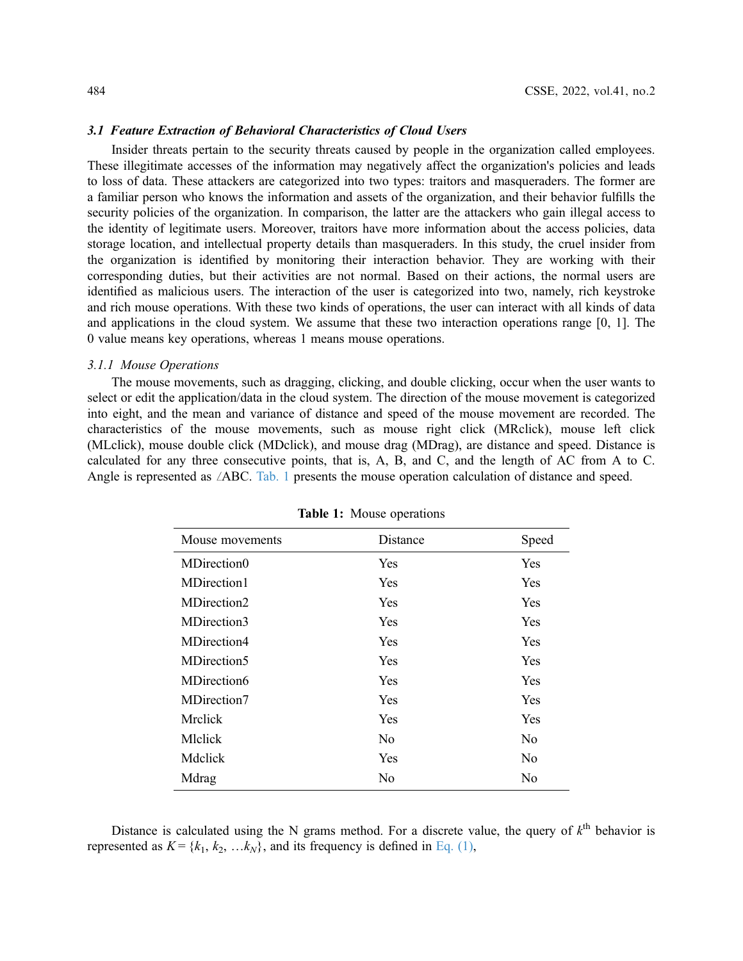## 3.1 Feature Extraction of Behavioral Characteristics of Cloud Users

Insider threats pertain to the security threats caused by people in the organization called employees. These illegitimate accesses of the information may negatively affect the organization's policies and leads to loss of data. These attackers are categorized into two types: traitors and masqueraders. The former are a familiar person who knows the information and assets of the organization, and their behavior fulfills the security policies of the organization. In comparison, the latter are the attackers who gain illegal access to the identity of legitimate users. Moreover, traitors have more information about the access policies, data storage location, and intellectual property details than masqueraders. In this study, the cruel insider from the organization is identified by monitoring their interaction behavior. They are working with their corresponding duties, but their activities are not normal. Based on their actions, the normal users are identified as malicious users. The interaction of the user is categorized into two, namely, rich keystroke and rich mouse operations. With these two kinds of operations, the user can interact with all kinds of data and applications in the cloud system. We assume that these two interaction operations range [0, 1]. The 0 value means key operations, whereas 1 means mouse operations.

#### 3.1.1 Mouse Operations

The mouse movements, such as dragging, clicking, and double clicking, occur when the user wants to select or edit the application/data in the cloud system. The direction of the mouse movement is categorized into eight, and the mean and variance of distance and speed of the mouse movement are recorded. The characteristics of the mouse movements, such as mouse right click (MRclick), mouse left click (MLclick), mouse double click (MDclick), and mouse drag (MDrag), are distance and speed. Distance is calculated for any three consecutive points, that is, A, B, and C, and the length of AC from A to C. Angle is represented as  $\angle$ ABC. [Tab. 1](#page-5-0) presents the mouse operation calculation of distance and speed.

<span id="page-5-0"></span>

| Mouse movements | Distance       | Speed          |
|-----------------|----------------|----------------|
| MDirection0     | Yes            | Yes            |
| MDirection1     | <b>Yes</b>     | Yes            |
| MDirection2     | <b>Yes</b>     | Yes            |
| MDirection3     | <b>Yes</b>     | Yes            |
| MDirection4     | <b>Yes</b>     | Yes            |
| MDirection5     | <b>Yes</b>     | <b>Yes</b>     |
| MDirection6     | <b>Yes</b>     | Yes            |
| MDirection7     | <b>Yes</b>     | Yes            |
| Mrclick         | Yes            | Yes            |
| Mlclick         | N <sub>0</sub> | N <sub>o</sub> |
| Mdclick         | Yes            | N <sub>0</sub> |
| Mdrag           | No             | No             |

Table 1: Mouse operations

<span id="page-5-1"></span>Distance is calculated using the N grams method. For a discrete value, the query of  $k^{\text{th}}$  behavior is represented as  $K = \{k_1, k_2, \ldots k_N\}$ , and its frequency is defined in [Eq. \(1\),](#page-5-1)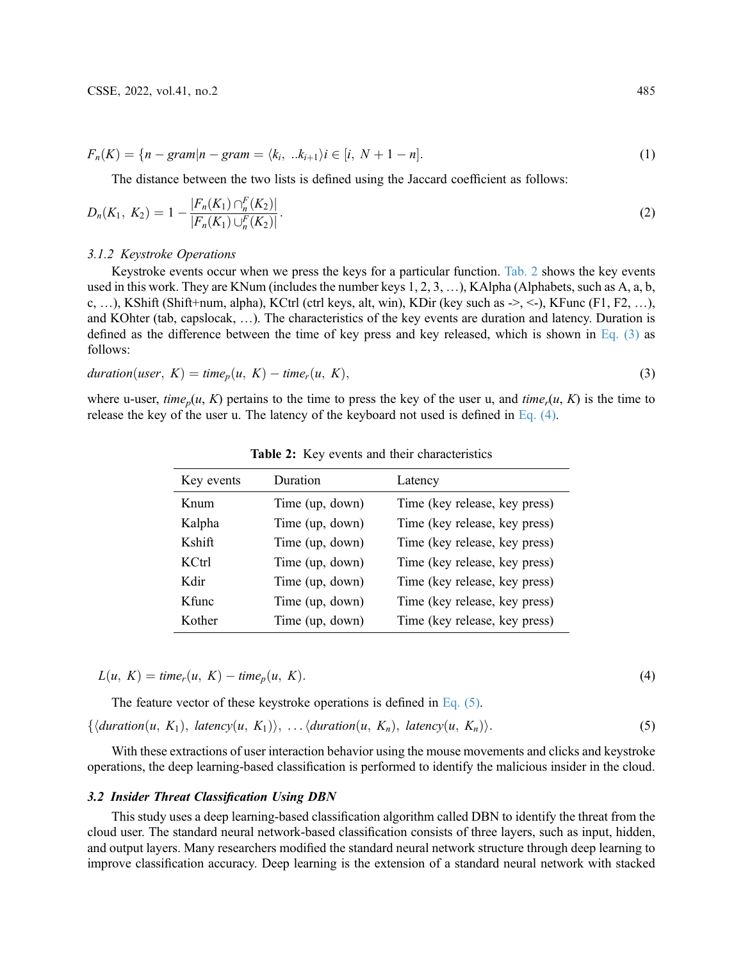$$
F_n(K) = \{ n - gram | n - gram = \langle k_i, ..k_{i+1} \rangle i \in [i, N+1-n]. \tag{1}
$$

The distance between the two lists is defined using the Jaccard coefficient as follows:

$$
D_n(K_1, K_2) = 1 - \frac{|F_n(K_1) \cap_n^F(K_2)|}{|F_n(K_1) \cup_n^F(K_2)|}.
$$
\n<sup>(2)</sup>

## 3.1.2 Keystroke Operations

Keystroke events occur when we press the keys for a particular function. [Tab. 2](#page-6-0) shows the key events used in this work. They are KNum (includes the number keys 1, 2, 3, …), KAlpha (Alphabets, such as A, a, b, c, …), KShift (Shift+num, alpha), KCtrl (ctrl keys, alt, win), KDir (key such as  $\geq$ ,  $\lt$ ), KFunc (F1, F2, …), and KOhter (tab, capslocak, …). The characteristics of the key events are duration and latency. Duration is defined as the difference between the time of key press and key released, which is shown in [Eq. \(3\)](#page-6-1) as follows:

<span id="page-6-1"></span>
$$
duration(user, K) = time_p(u, K) - time_r(u, K),
$$
\n(3)

<span id="page-6-2"></span>where u-user, time<sub>p</sub> $(u, K)$  pertains to the time to press the key of the user u, and time<sub>r</sub> $(u, K)$  is the time to release the key of the user u. The latency of the keyboard not used is defined in Eq.  $(4)$ .

<span id="page-6-0"></span>

| Key events | Duration        | Latency                       |
|------------|-----------------|-------------------------------|
| Knum       | Time (up, down) | Time (key release, key press) |
| Kalpha     | Time (up, down) | Time (key release, key press) |
| Kshift     | Time (up, down) | Time (key release, key press) |
| KCtrl      | Time (up, down) | Time (key release, key press) |
| Kdir       | Time (up, down) | Time (key release, key press) |
| K func     | Time (up, down) | Time (key release, key press) |
| Kother     | Time (up, down) | Time (key release, key press) |

Table 2: Key events and their characteristics

 $L(u, K) = \text{time}_r(u, K) - \text{time}_p(u, K).$  (4)

<span id="page-6-3"></span>The feature vector of these keystroke operations is defined in [Eq. \(5\)](#page-6-3).  $\{\langle duration(u, K_1), latency(u, K_1)\rangle, \ldots, \langle duration(u, K_n), latency(u, K_n)\rangle.\tag{5}$ 

With these extractions of user interaction behavior using the mouse movements and clicks and keystroke operations, the deep learning-based classification is performed to identify the malicious insider in the cloud.

#### 3.2 Insider Threat Classification Using DBN

This study uses a deep learning-based classification algorithm called DBN to identify the threat from the cloud user. The standard neural network-based classification consists of three layers, such as input, hidden, and output layers. Many researchers modified the standard neural network structure through deep learning to improve classification accuracy. Deep learning is the extension of a standard neural network with stacked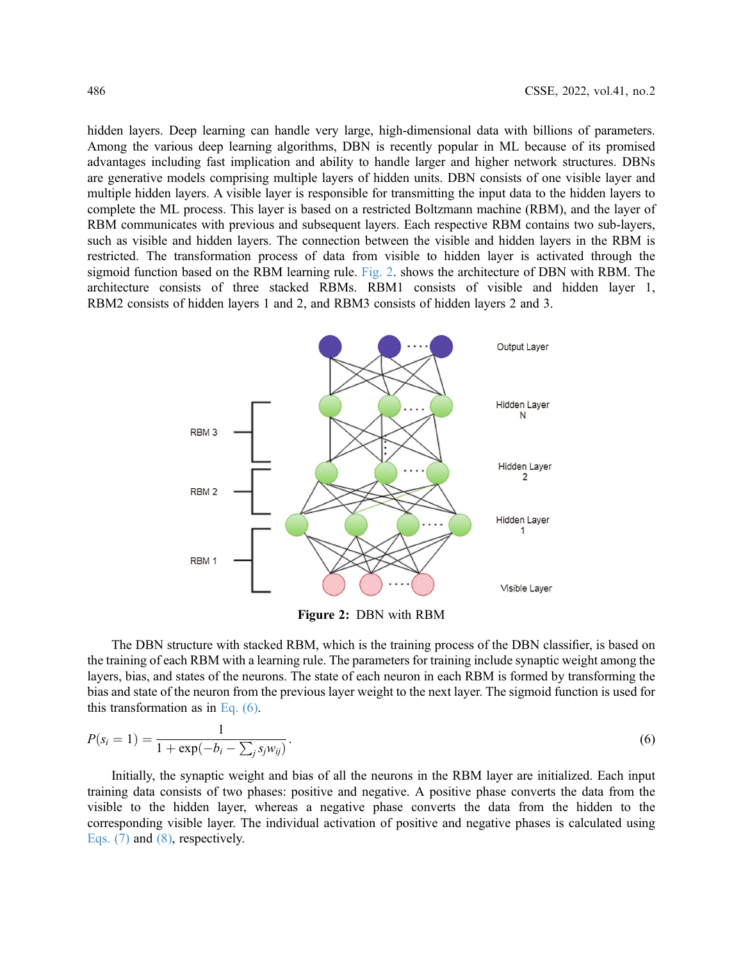hidden layers. Deep learning can handle very large, high-dimensional data with billions of parameters. Among the various deep learning algorithms, DBN is recently popular in ML because of its promised advantages including fast implication and ability to handle larger and higher network structures. DBNs are generative models comprising multiple layers of hidden units. DBN consists of one visible layer and multiple hidden layers. A visible layer is responsible for transmitting the input data to the hidden layers to complete the ML process. This layer is based on a restricted Boltzmann machine (RBM), and the layer of RBM communicates with previous and subsequent layers. Each respective RBM contains two sub-layers, such as visible and hidden layers. The connection between the visible and hidden layers in the RBM is restricted. The transformation process of data from visible to hidden layer is activated through the sigmoid function based on the RBM learning rule. [Fig. 2](#page-7-0). shows the architecture of DBN with RBM. The architecture consists of three stacked RBMs. RBM1 consists of visible and hidden layer 1, RBM2 consists of hidden layers 1 and 2, and RBM3 consists of hidden layers 2 and 3.

<span id="page-7-0"></span>

Figure 2: DBN with RBM

The DBN structure with stacked RBM, which is the training process of the DBN classifier, is based on the training of each RBM with a learning rule. The parameters for training include synaptic weight among the layers, bias, and states of the neurons. The state of each neuron in each RBM is formed by transforming the bias and state of the neuron from the previous layer weight to the next layer. The sigmoid function is used for this transformation as in Eq.  $(6)$ .

<span id="page-7-1"></span>
$$
P(s_i = 1) = \frac{1}{1 + \exp(-b_i - \sum_j s_j w_{ij})}.
$$
\n(6)

<span id="page-7-2"></span>Initially, the synaptic weight and bias of all the neurons in the RBM layer are initialized. Each input training data consists of two phases: positive and negative. A positive phase converts the data from the visible to the hidden layer, whereas a negative phase converts the data from the hidden to the corresponding visible layer. The individual activation of positive and negative phases is calculated using [Eqs. \(7\)](#page-7-2) and [\(8\),](#page-8-0) respectively.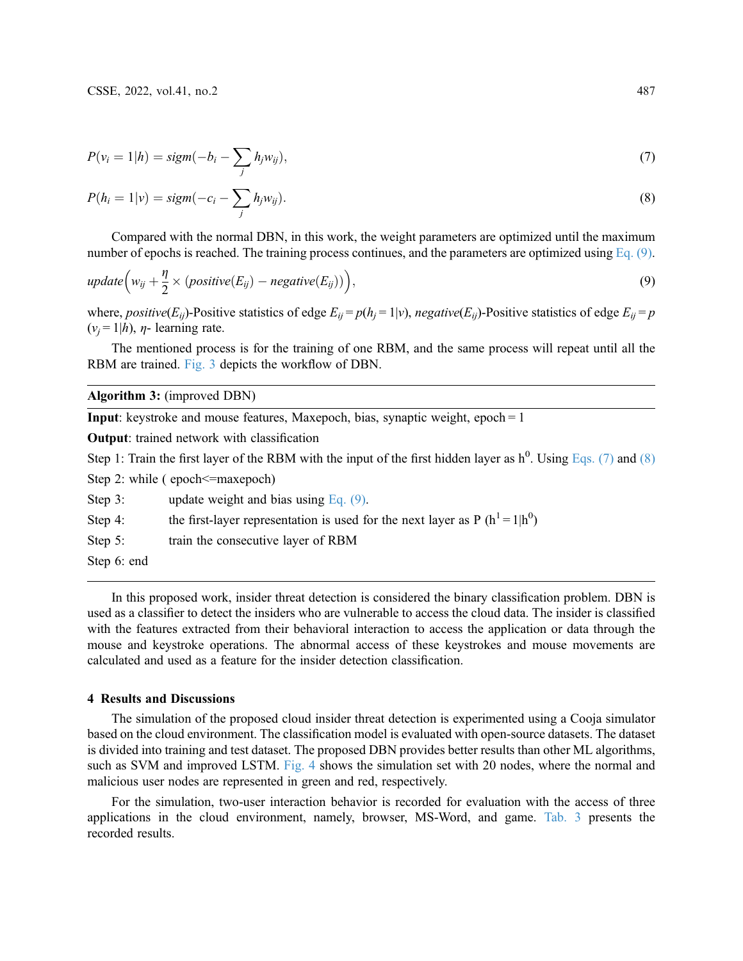<span id="page-8-0"></span>
$$
P(v_i = 1 | h) = sign(-b_i - \sum_j h_j w_{ij}),
$$
\n<sup>(7)</sup>

$$
P(h_i = 1|v) = sign(-c_i - \sum_j h_j w_{ij}).
$$
\n(8)

<span id="page-8-1"></span>Compared with the normal DBN, in this work, the weight parameters are optimized until the maximum number of epochs is reached. The training process continues, and the parameters are optimized using [Eq. \(9\)](#page-8-1).

$$
update(w_{ij} + \frac{\eta}{2} \times (positive(E_{ij}) - negative(E_{ij}))\big),
$$
\n(9)

where, positive( $E_{ii}$ )-Positive statistics of edge  $E_{ii} = p(h_i = 1|v)$ , negative( $E_{ii}$ )-Positive statistics of edge  $E_{ii} = p$  $(v_i = 1|h)$ ,  $\eta$ - learning rate.

The mentioned process is for the training of one RBM, and the same process will repeat until all the RBM are trained. [Fig. 3](#page-9-0) depicts the workflow of DBN.

## Algorithm 3: (improved DBN)

**Input:** keystroke and mouse features, Maxepoch, bias, synaptic weight,  $epoch = 1$ 

Output: trained network with classification

Step 1: Train the first layer of the RBM with the input of the first hidden layer as  $h^0$ . Using [Eqs. \(7\)](#page-7-2) and [\(8\)](#page-8-0)

- Step 2: while ( epoch  $\leq$  maxepoch)
- Step 3: update weight and bias using [Eq. \(9\)](#page-8-1).
- Step 4: the first-layer representation is used for the next layer as P ( $h^1 = 1|h^0$ )
- Step 5: train the consecutive layer of RBM
- Step 6: end

In this proposed work, insider threat detection is considered the binary classification problem. DBN is used as a classifier to detect the insiders who are vulnerable to access the cloud data. The insider is classified with the features extracted from their behavioral interaction to access the application or data through the mouse and keystroke operations. The abnormal access of these keystrokes and mouse movements are calculated and used as a feature for the insider detection classification.

### 4 Results and Discussions

The simulation of the proposed cloud insider threat detection is experimented using a Cooja simulator based on the cloud environment. The classification model is evaluated with open-source datasets. The dataset is divided into training and test dataset. The proposed DBN provides better results than other ML algorithms, such as SVM and improved LSTM. [Fig. 4](#page-10-0) shows the simulation set with 20 nodes, where the normal and malicious user nodes are represented in green and red, respectively.

For the simulation, two-user interaction behavior is recorded for evaluation with the access of three applications in the cloud environment, namely, browser, MS-Word, and game. [Tab. 3](#page-11-0) presents the recorded results.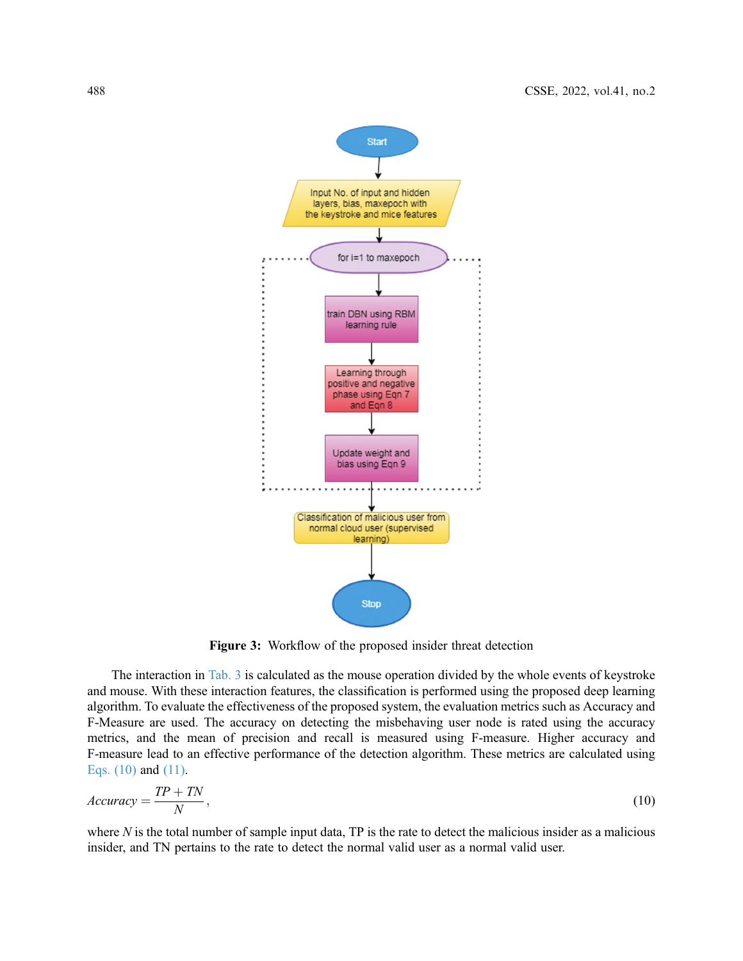<span id="page-9-0"></span>

Figure 3: Workflow of the proposed insider threat detection

The interaction in [Tab. 3](#page-11-0) is calculated as the mouse operation divided by the whole events of keystroke and mouse. With these interaction features, the classification is performed using the proposed deep learning algorithm. To evaluate the effectiveness of the proposed system, the evaluation metrics such as Accuracy and F-Measure are used. The accuracy on detecting the misbehaving user node is rated using the accuracy metrics, and the mean of precision and recall is measured using F-measure. Higher accuracy and F-measure lead to an effective performance of the detection algorithm. These metrics are calculated using [Eqs. \(10\)](#page-9-1) and [\(11\)](#page-9-2).

<span id="page-9-1"></span>
$$
Accuracy = \frac{TP + TN}{N},\tag{10}
$$

<span id="page-9-2"></span>where  $N$  is the total number of sample input data, TP is the rate to detect the malicious insider as a malicious insider, and TN pertains to the rate to detect the normal valid user as a normal valid user.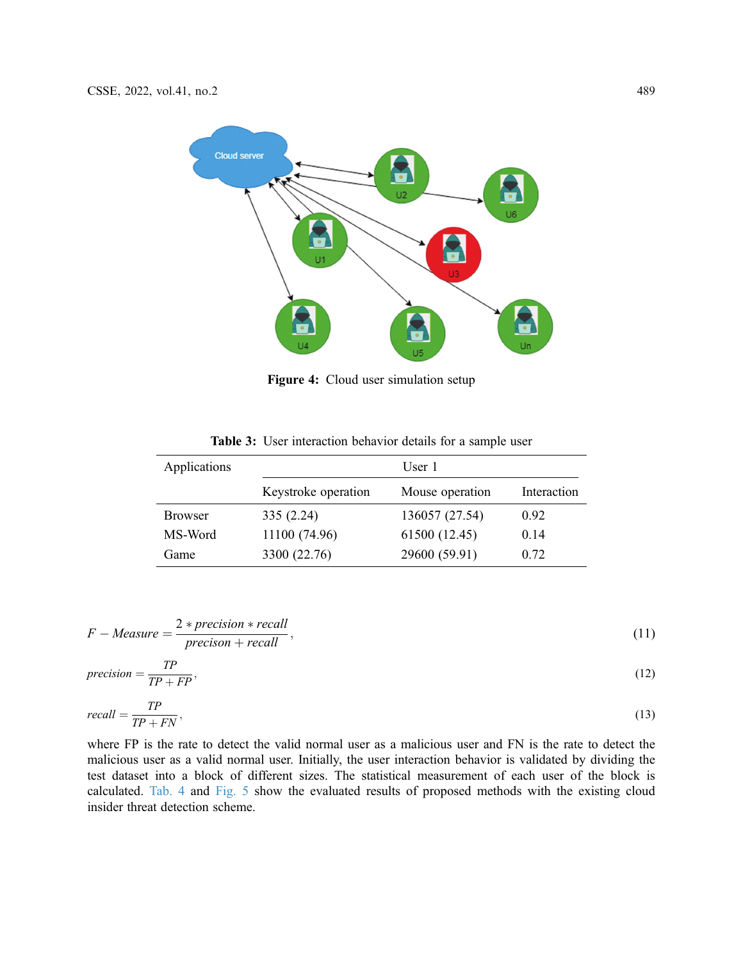<span id="page-10-0"></span>

Figure 4: Cloud user simulation setup

|  | <b>Table 3:</b> User interaction behavior details for a sample user |  |  |  |
|--|---------------------------------------------------------------------|--|--|--|
|  |                                                                     |  |  |  |

<span id="page-10-1"></span>

| Applications   | User 1              |                 |             |
|----------------|---------------------|-----------------|-------------|
|                | Keystroke operation | Mouse operation | Interaction |
| <b>Browser</b> | 335(2.24)           | 136057 (27.54)  | 0.92        |
| MS-Word        | 11100 (74.96)       | 61500 (12.45)   | 0.14        |
| Game           | 3300 (22.76)        | 29600 (59.91)   | 0.72        |

$$
F-Measure = \frac{2*precision*recall}{precision+recall},
$$
\n(11)

$$
precision = \frac{TP}{TP + FP},\tag{12}
$$

$$
recall = \frac{TP}{TP + FN},\tag{13}
$$

where FP is the rate to detect the valid normal user as a malicious user and FN is the rate to detect the malicious user as a valid normal user. Initially, the user interaction behavior is validated by dividing the test dataset into a block of different sizes. The statistical measurement of each user of the block is calculated. [Tab. 4](#page-10-1) and [Fig. 5](#page-11-1) show the evaluated results of proposed methods with the existing cloud insider threat detection scheme.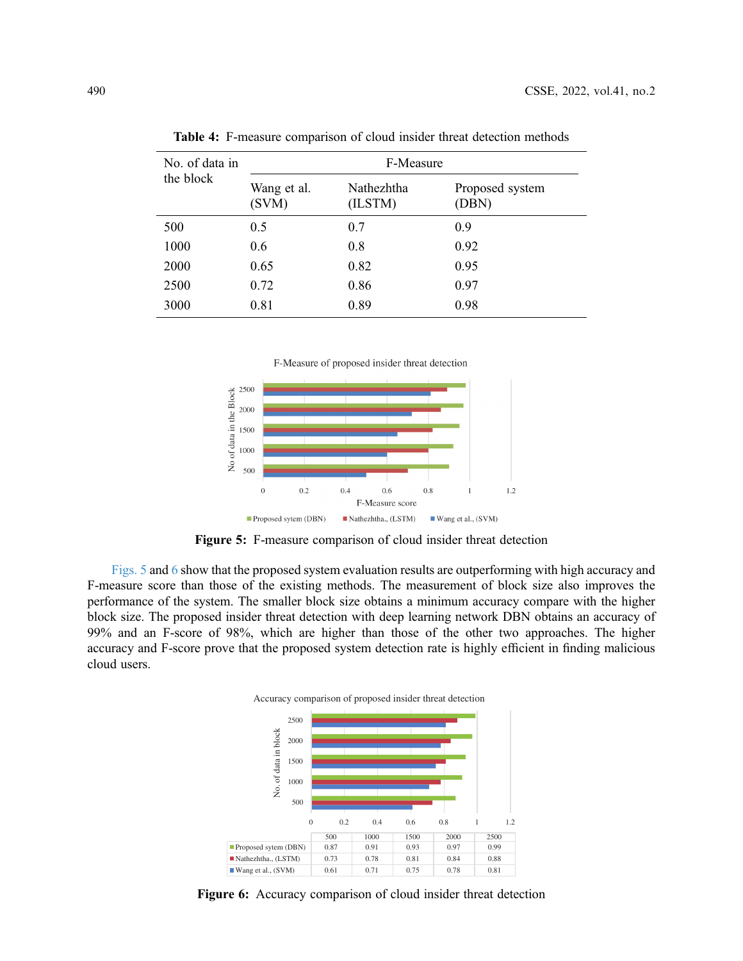| No. of data in | F-Measure            |                       |                          |  |
|----------------|----------------------|-----------------------|--------------------------|--|
| the block      | Wang et al.<br>(SVM) | Nathezhtha<br>(ILSTM) | Proposed system<br>(DBN) |  |
| 500            | 0.5                  | 0.7                   | 0.9                      |  |
| 1000           | 0.6                  | 0.8                   | 0.92                     |  |
| 2000           | 0.65                 | 0.82                  | 0.95                     |  |
| 2500           | 0.72                 | 0.86                  | 0.97                     |  |
| 3000           | 0.81                 | 0.89                  | 0.98                     |  |

<span id="page-11-0"></span>Table 4: F-measure comparison of cloud insider threat detection methods

F-Measure of proposed insider threat detection

<span id="page-11-1"></span>

Figure 5: F-measure comparison of cloud insider threat detection

<span id="page-11-2"></span>[Figs. 5](#page-11-1) and [6](#page-11-2) show that the proposed system evaluation results are outperforming with high accuracy and F-measure score than those of the existing methods. The measurement of block size also improves the performance of the system. The smaller block size obtains a minimum accuracy compare with the higher block size. The proposed insider threat detection with deep learning network DBN obtains an accuracy of 99% and an F-score of 98%, which are higher than those of the other two approaches. The higher accuracy and F-score prove that the proposed system detection rate is highly efficient in finding malicious cloud users.



Figure 6: Accuracy comparison of cloud insider threat detection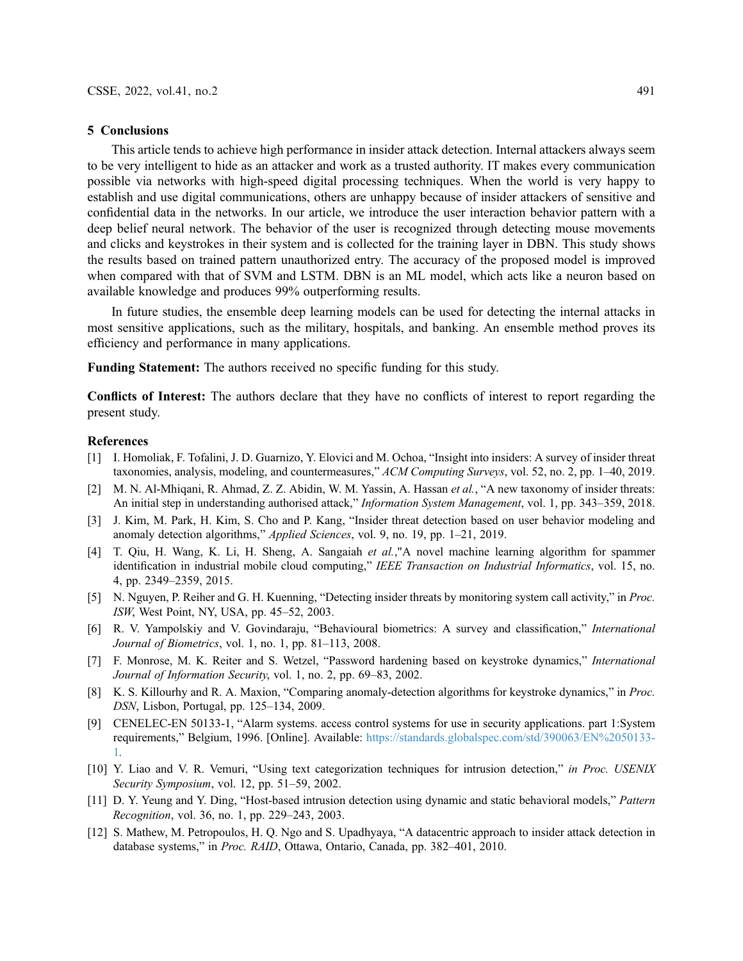#### 5 Conclusions

This article tends to achieve high performance in insider attack detection. Internal attackers always seem to be very intelligent to hide as an attacker and work as a trusted authority. IT makes every communication possible via networks with high-speed digital processing techniques. When the world is very happy to establish and use digital communications, others are unhappy because of insider attackers of sensitive and confidential data in the networks. In our article, we introduce the user interaction behavior pattern with a deep belief neural network. The behavior of the user is recognized through detecting mouse movements and clicks and keystrokes in their system and is collected for the training layer in DBN. This study shows the results based on trained pattern unauthorized entry. The accuracy of the proposed model is improved when compared with that of SVM and LSTM. DBN is an ML model, which acts like a neuron based on available knowledge and produces 99% outperforming results.

In future studies, the ensemble deep learning models can be used for detecting the internal attacks in most sensitive applications, such as the military, hospitals, and banking. An ensemble method proves its efficiency and performance in many applications.

Funding Statement: The authors received no specific funding for this study.

Conflicts of Interest: The authors declare that they have no conflicts of interest to report regarding the present study.

#### References

- <span id="page-12-0"></span>[1] I. Homoliak, F. Tofalini, J. D. Guarnizo, Y. Elovici and M. Ochoa, "Insight into insiders: A survey of insider threat taxonomies, analysis, modeling, and countermeasures," ACM Computing Surveys, vol. 52, no. 2, pp. 1–40, 2019.
- <span id="page-12-1"></span>[2] M. N. Al-Mhigani, R. Ahmad, Z. Z. Abidin, W. M. Yassin, A. Hassan et al., "A new taxonomy of insider threats: An initial step in understanding authorised attack," Information System Management, vol. 1, pp. 343–359, 2018.
- <span id="page-12-2"></span>[3] J. Kim, M. Park, H. Kim, S. Cho and P. Kang, "Insider threat detection based on user behavior modeling and anomaly detection algorithms," Applied Sciences, vol. 9, no. 19, pp. 1–21, 2019.
- <span id="page-12-3"></span>[4] T. Qiu, H. Wang, K. Li, H. Sheng, A. Sangaiah et al.,"A novel machine learning algorithm for spammer identification in industrial mobile cloud computing," IEEE Transaction on Industrial Informatics, vol. 15, no. 4, pp. 2349–2359, 2015.
- <span id="page-12-4"></span>[5] N. Nguyen, P. Reiher and G. H. Kuenning, "Detecting insider threats by monitoring system call activity," in Proc. ISW, West Point, NY, USA, pp. 45–52, 2003.
- <span id="page-12-5"></span>[6] R. V. Yampolskiy and V. Govindaraju, "Behavioural biometrics: A survey and classification," International Journal of Biometrics, vol. 1, no. 1, pp. 81–113, 2008.
- <span id="page-12-6"></span>[7] F. Monrose, M. K. Reiter and S. Wetzel, "Password hardening based on keystroke dynamics," International Journal of Information Security, vol. 1, no. 2, pp. 69–83, 2002.
- <span id="page-12-7"></span>[8] K. S. Killourhy and R. A. Maxion, "Comparing anomaly-detection algorithms for keystroke dynamics," in Proc. DSN, Lisbon, Portugal, pp. 125–134, 2009.
- <span id="page-12-8"></span>[9] CENELEC-EN 50133-1, "Alarm systems. access control systems for use in security applications. part 1:System requirements," Belgium, 1996. [Online]. Available: [https://standards.globalspec.com/std/390063/EN%2050133-](https://standards.globalspec.com/std/390063/EN%2050133-1) [1](https://standards.globalspec.com/std/390063/EN%2050133-1).
- <span id="page-12-9"></span>[10] Y. Liao and V. R. Vemuri, "Using text categorization techniques for intrusion detection," in Proc. USENIX Security Symposium, vol. 12, pp. 51–59, 2002.
- <span id="page-12-10"></span>[11] D. Y. Yeung and Y. Ding, "Host-based intrusion detection using dynamic and static behavioral models," Pattern Recognition, vol. 36, no. 1, pp. 229–243, 2003.
- <span id="page-12-11"></span>[12] S. Mathew, M. Petropoulos, H. Q. Ngo and S. Upadhyaya, "A datacentric approach to insider attack detection in database systems," in Proc. RAID, Ottawa, Ontario, Canada, pp. 382–401, 2010.